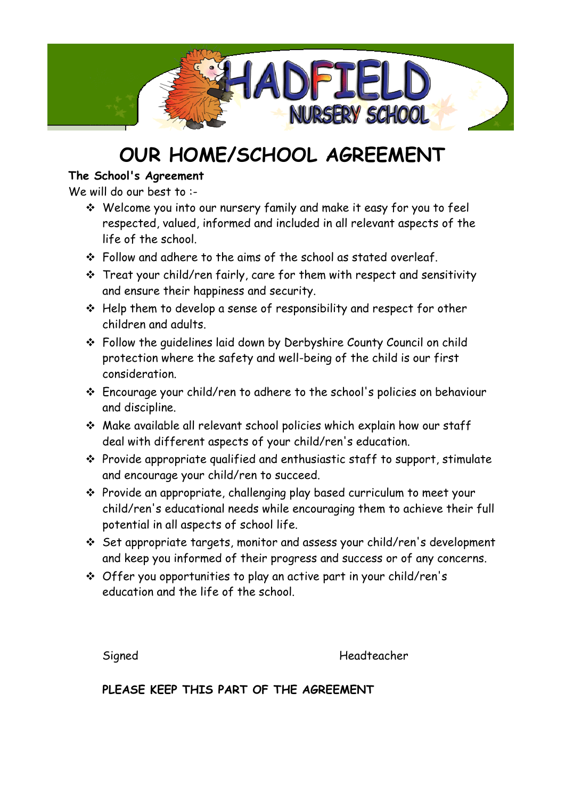

## **OUR HOME/SCHOOL AGREEMENT**

### **The School's Agreement**

We will do our best to :-

- Welcome you into our nursery family and make it easy for you to feel respected, valued, informed and included in all relevant aspects of the life of the school.
- \* Follow and adhere to the aims of the school as stated overleaf.
- Treat your child/ren fairly, care for them with respect and sensitivity and ensure their happiness and security.
- $\div$  Help them to develop a sense of responsibility and respect for other children and adults.
- Follow the guidelines laid down by Derbyshire County Council on child protection where the safety and well-being of the child is our first consideration.
- Encourage your child/ren to adhere to the school's policies on behaviour and discipline.
- Make available all relevant school policies which explain how our staff deal with different aspects of your child/ren's education.
- $\cdot \cdot$  Provide appropriate qualified and enthusiastic staff to support, stimulate and encourage your child/ren to succeed.
- Provide an appropriate, challenging play based curriculum to meet your child/ren's educational needs while encouraging them to achieve their full potential in all aspects of school life.
- Set appropriate targets, monitor and assess your child/ren's development and keep you informed of their progress and success or of any concerns.
- Offer you opportunities to play an active part in your child/ren's education and the life of the school.

Signed Headteacher

**PLEASE KEEP THIS PART OF THE AGREEMENT**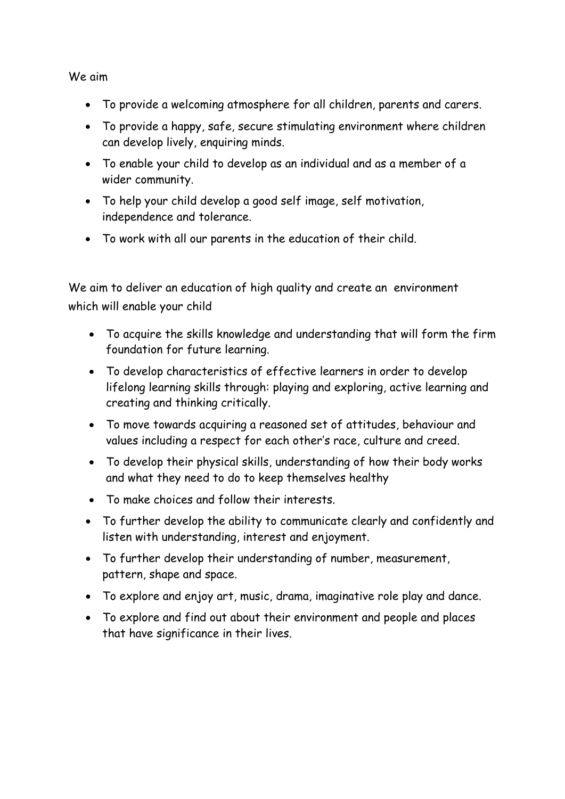We aim

- To provide a welcoming atmosphere for all children, parents and carers.
- To provide a happy, safe, secure stimulating environment where children can develop lively, enquiring minds.
- To enable your child to develop as an individual and as a member of a wider community.
- To help your child develop a good self image, self motivation, independence and tolerance.
- To work with all our parents in the education of their child.

We aim to deliver an education of high quality and create an environment which will enable your child

- To acquire the skills knowledge and understanding that will form the firm foundation for future learning.
- To develop characteristics of effective learners in order to develop lifelong learning skills through: playing and exploring, active learning and creating and thinking critically.
- To move towards acquiring a reasoned set of attitudes, behaviour and values including a respect for each other's race, culture and creed.
- To develop their physical skills, understanding of how their body works and what they need to do to keep themselves healthy
- To make choices and follow their interests.
- To further develop the ability to communicate clearly and confidently and listen with understanding, interest and enjoyment.
- To further develop their understanding of number, measurement, pattern, shape and space.
- To explore and enjoy art, music, drama, imaginative role play and dance.
- To explore and find out about their environment and people and places that have significance in their lives.